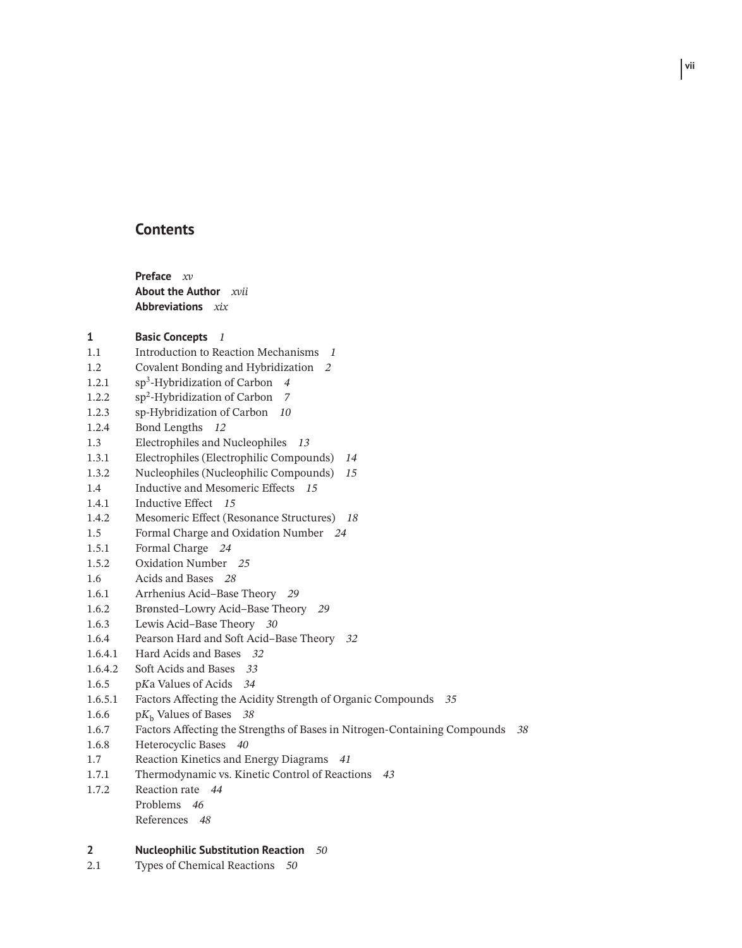## **Contents**

**Preface** *xv* **About the Author** *xvii* **Abbreviations** *xix*

### **1 Basic Concepts** *1*

- 1.1 Introduction to Reaction Mechanisms *1*
- 1.2 Covalent Bonding and Hybridization *2*
- 1.2.1 sp3-Hybridization of Carbon *4*
- 1.2.2 sp2-Hybridization of Carbon *7*
- 1.2.3 sp*-*Hybridization of Carbon *10*
- 1.2.4 Bond Lengths *12*
- 1.3 Electrophiles and Nucleophiles *13*
- 1.3.1 Electrophiles (Electrophilic Compounds) *14*
- 1.3.2 Nucleophiles (Nucleophilic Compounds) *15*
- 1.4 Inductive and Mesomeric Effects *15*
- 1.4.1 Inductive Effect *15*
- 1.4.2 Mesomeric Effect (Resonance Structures) *18*
- 1.5 Formal Charge and Oxidation Number *24*
- 1.5.1 Formal Charge *24*
- 1.5.2 Oxidation Number *25*
- 1.6 Acids and Bases *28*
- 1.6.1 Arrhenius Acid–Base Theory *29*
- 1.6.2 Brønsted–Lowry Acid–Base Theory *29*
- 1.6.3 Lewis Acid–Base Theory *30*
- 1.6.4 Pearson Hard and Soft Acid–Base Theory *32*
- 1.6.4.1 Hard Acids and Bases *32*
- 1.6.4.2 Soft Acids and Bases *33*
- 1.6.5 p*K*a Values of Acids *34*
- 1.6.5.1 Factors Affecting the Acidity Strength of Organic Compounds *35*
- 1.6.6 p*K*<sub>b</sub> Values of Bases 38<br>1.6.7 Factors Affecting the Stre
- 1.6.7 Factors Affecting the Strengths of Bases in Nitrogen-Containing Compounds *38*
- 1.6.8 Heterocyclic Bases *40*
- 1.7 Reaction Kinetics and Energy Diagrams *41*
- 1.7.1 Thermodynamic vs. Kinetic Control of Reactions *43*
- 1.7.2 Reaction rate *44* Problems *46* References *48*

#### **2 Nucleophilic Substitution Reaction** *50*

2.1 Types of Chemical Reactions *50*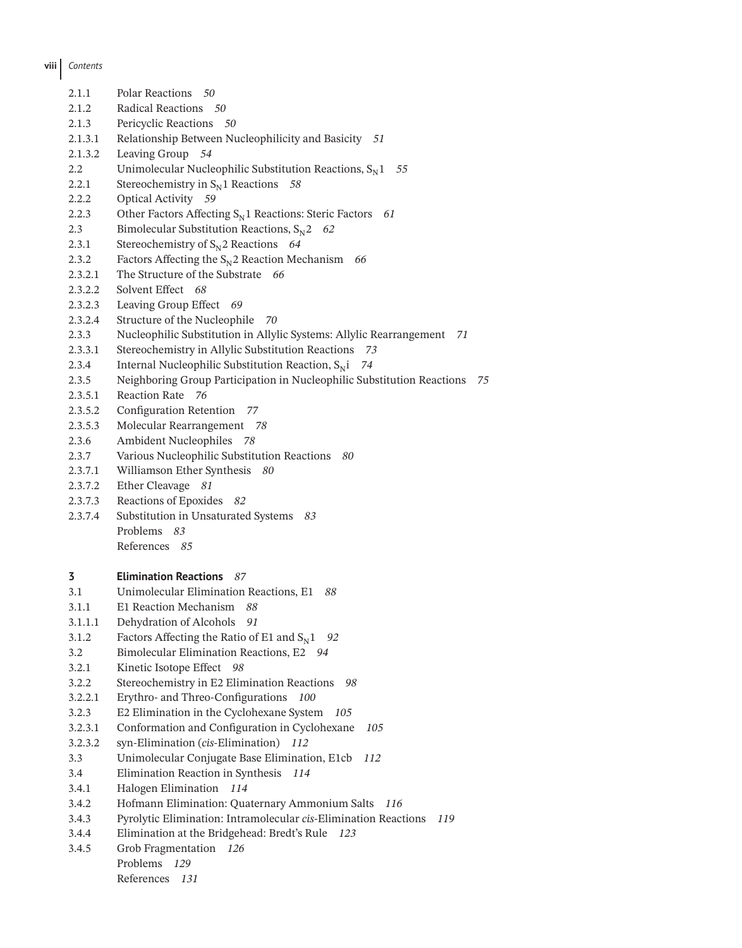# **viii** *Contents*

| 2.1.1              | Polar Reactions 50                                                                                                       |  |  |
|--------------------|--------------------------------------------------------------------------------------------------------------------------|--|--|
| 2.1.2              | Radical Reactions 50                                                                                                     |  |  |
| 2.1.3              | Pericyclic Reactions 50                                                                                                  |  |  |
| 2.1.3.1            | Relationship Between Nucleophilicity and Basicity 51                                                                     |  |  |
| 2.1.3.2            | Leaving Group 54                                                                                                         |  |  |
| 2.2                | Unimolecular Nucleophilic Substitution Reactions, $S_N1$<br>55                                                           |  |  |
| 2.2.1              | Stereochemistry in $S_N$ 1 Reactions<br>58                                                                               |  |  |
| 2.2.2              | <b>Optical Activity</b><br>59                                                                                            |  |  |
| 2.2.3              | Other Factors Affecting $S_N1$ Reactions: Steric Factors<br>61                                                           |  |  |
| 2.3                | Bimolecular Substitution Reactions, $S_N^2$<br>62                                                                        |  |  |
| 2.3.1              | Stereochemistry of $S_N$ 2 Reactions 64                                                                                  |  |  |
| 2.3.2              | Factors Affecting the $S_N$ 2 Reaction Mechanism 66                                                                      |  |  |
| 2.3.2.1            | The Structure of the Substrate 66                                                                                        |  |  |
| 2.3.2.2            | Solvent Effect 68                                                                                                        |  |  |
| 2.3.2.3            | Leaving Group Effect<br>- 69                                                                                             |  |  |
| 2.3.2.4            | Structure of the Nucleophile<br>70                                                                                       |  |  |
| 2.3.3              | Nucleophilic Substitution in Allylic Systems: Allylic Rearrangement<br>71                                                |  |  |
| 2.3.3.1            | Stereochemistry in Allylic Substitution Reactions 73                                                                     |  |  |
| 2.3.4              | Internal Nucleophilic Substitution Reaction, $S_N$ i<br>74                                                               |  |  |
| 2.3.5              | Neighboring Group Participation in Nucleophilic Substitution Reactions<br>75                                             |  |  |
| 2.3.5.1            | Reaction Rate 76                                                                                                         |  |  |
| 2.3.5.2            | Configuration Retention<br>77                                                                                            |  |  |
| 2.3.5.3            | Molecular Rearrangement 78                                                                                               |  |  |
| 2.3.6              | Ambident Nucleophiles 78                                                                                                 |  |  |
| 2.3.7              | Various Nucleophilic Substitution Reactions 80                                                                           |  |  |
| 2.3.7.1            | Williamson Ether Synthesis 80                                                                                            |  |  |
| 2.3.7.2            | Ether Cleavage<br>81                                                                                                     |  |  |
| 2.3.7.3            | Reactions of Epoxides 82                                                                                                 |  |  |
| 2.3.7.4            | Substitution in Unsaturated Systems<br>83                                                                                |  |  |
|                    | Problems<br>83                                                                                                           |  |  |
|                    | References 85                                                                                                            |  |  |
| 3                  | <b>Elimination Reactions 87</b>                                                                                          |  |  |
| 3.1                | Unimolecular Elimination Reactions, E1<br>88                                                                             |  |  |
| 3.1.1              | E1 Reaction Mechanism<br>88                                                                                              |  |  |
|                    |                                                                                                                          |  |  |
| 3.1.1.1<br>3.1.2   | Dehydration of Alcohols 91<br>Factors Affecting the Ratio of E1 and $S_N1$                                               |  |  |
| 3.2                | 92<br>Bimolecular Elimination Reactions, E2 94                                                                           |  |  |
|                    | Kinetic Isotope Effect 98                                                                                                |  |  |
| 3.2.1              | 98                                                                                                                       |  |  |
| 3.2.2<br>3.2.2.1   | Stereochemistry in E2 Elimination Reactions<br>Erythro- and Threo-Configurations<br>100                                  |  |  |
|                    | E2 Elimination in the Cyclohexane System                                                                                 |  |  |
| 3.2.3              | 105<br>Conformation and Configuration in Cyclohexane                                                                     |  |  |
| 3.2.3.1<br>3.2.3.2 | 105<br>syn-Elimination (cis-Elimination)<br>112                                                                          |  |  |
|                    | Unimolecular Conjugate Base Elimination, E1cb                                                                            |  |  |
| 3.3                | 112                                                                                                                      |  |  |
| 3.4                | Elimination Reaction in Synthesis<br>114                                                                                 |  |  |
| 3.4.1              | Halogen Elimination<br>114                                                                                               |  |  |
| 3.4.2              | Hofmann Elimination: Quaternary Ammonium Salts<br>116<br>Pyrolytic Elimination: Intramolecular cis-Elimination Reactions |  |  |
| 3.4.3              | 119                                                                                                                      |  |  |
| 3.4.4              | Elimination at the Bridgehead: Bredt's Rule 123                                                                          |  |  |
| 3.4.5              | Grob Fragmentation 126<br>Problems 129                                                                                   |  |  |
|                    | References<br>131                                                                                                        |  |  |
|                    |                                                                                                                          |  |  |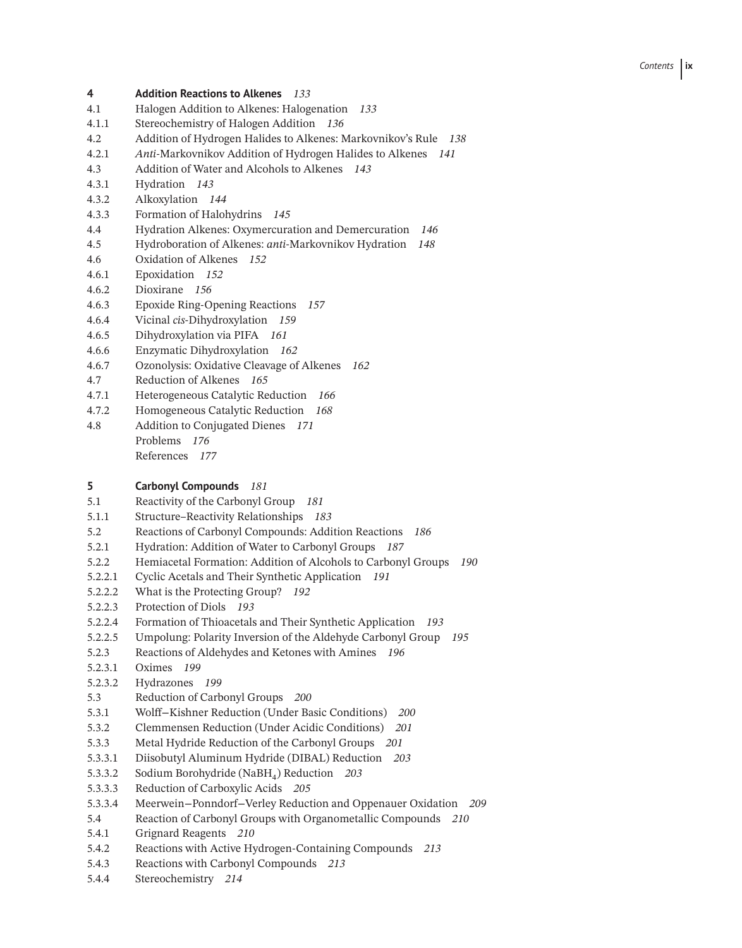### **4 Addition Reactions to Alkenes** *133*

- 4.1 Halogen Addition to Alkenes: Halogenation *133*
- 4.1.1 Stereochemistry of Halogen Addition *136*
- 4.2 Addition of Hydrogen Halides to Alkenes: Markovnikov's Rule *138*
- 4.2.1 *Anti*-Markovnikov Addition of Hydrogen Halides to Alkenes *141*
- 4.3 Addition of Water and Alcohols to Alkenes *143*
- 4.3.1 Hydration *143*
- 4.3.2 Alkoxylation *144*
- 4.3.3 Formation of Halohydrins *145*
- 4.4 Hydration Alkenes: Oxymercuration and Demercuration *146*
- 4.5 Hydroboration of Alkenes: *anti*-Markovnikov Hydration *148*
- 4.6 Oxidation of Alkenes *152*
- 4.6.1 Epoxidation *152*
- 4.6.2 Dioxirane *156*
- 4.6.3 Epoxide Ring-Opening Reactions *157*
- 4.6.4 Vicinal *cis*-Dihydroxylation *159*
- 4.6.5 Dihydroxylation via PIFA *161*
- 4.6.6 Enzymatic Dihydroxylation *162*
- 4.6.7 Ozonolysis: Oxidative Cleavage of Alkenes *162*
- 4.7 Reduction of Alkenes *165*
- 4.7.1 Heterogeneous Catalytic Reduction *166*
- 4.7.2 Homogeneous Catalytic Reduction *168*
- 4.8 Addition to Conjugated Dienes *171* Problems *176* References *177*

#### **5 Carbonyl Compounds** *181*

- 5.1 Reactivity of the Carbonyl Group *181*
- 5.1.1 Structure–Reactivity Relationships *183*
- 5.2 Reactions of Carbonyl Compounds: Addition Reactions *186*
- 5.2.1 Hydration: Addition of Water to Carbonyl Groups *187*
- 5.2.2 Hemiacetal Formation: Addition of Alcohols to Carbonyl Groups *190*
- 5.2.2.1 Cyclic Acetals and Their Synthetic Application *191*
- 5.2.2.2 What is the Protecting Group? *192*
- 5.2.2.3 Protection of Diols *193*
- 5.2.2.4 Formation of Thioacetals and Their Synthetic Application *193*
- 5.2.2.5 Umpolung: Polarity Inversion of the Aldehyde Carbonyl Group *195*
- 5.2.3 Reactions of Aldehydes and Ketones with Amines *196*
- 5.2.3.1 Oximes *199*
- 5.2.3.2 Hydrazones *199*
- 5.3 Reduction of Carbonyl Groups *200*
- 5.3.1 Wolff−Kishner Reduction (Under Basic Conditions) *200*
- 5.3.2 Clemmensen Reduction (Under Acidic Conditions) *201*
- 5.3.3 Metal Hydride Reduction of the Carbonyl Groups *201*
- 5.3.3.1 Diisobutyl Aluminum Hydride (DIBAL) Reduction *203*
- 5.3.3.2 Sodium Borohydride (NaBH<sub>4</sub>) Reduction *203*<br>5.3.3.3 Reduction of Carboxylic Acids *205*
- 5.3.3.3 Reduction of Carboxylic Acids *205*
- 5.3.3.4 Meerwein−Ponndorf−Verley Reduction and Oppenauer Oxidation *209*
- 5.4 Reaction of Carbonyl Groups with Organometallic Compounds *210*
- 5.4.1 Grignard Reagents *210*
- 5.4.2 Reactions with Active Hydrogen-Containing Compounds *213*
- 5.4.3 Reactions with Carbonyl Compounds *213*
- 5.4.4 Stereochemistry *214*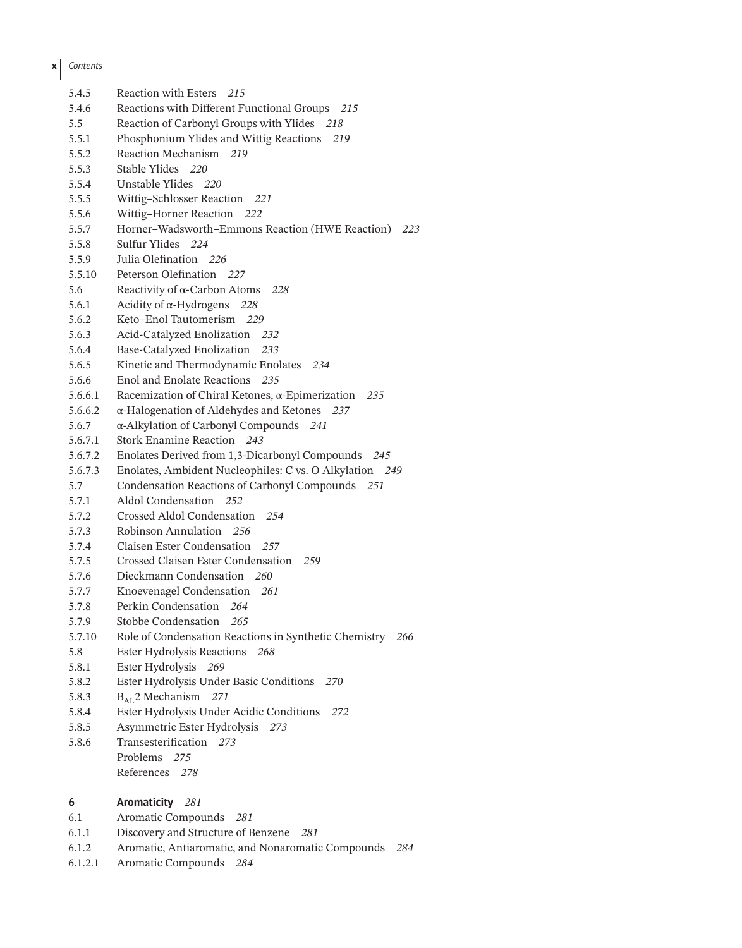| 5.4.5   | Reaction with Esters 215                                       |
|---------|----------------------------------------------------------------|
| 5.4.6   | Reactions with Different Functional Groups<br>215              |
| 5.5     | Reaction of Carbonyl Groups with Ylides 218                    |
| 5.5.1   | Phosphonium Ylides and Wittig Reactions 219                    |
| 5.5.2   | Reaction Mechanism 219                                         |
| 5.5.3   | Stable Ylides 220                                              |
| 5.5.4   | Unstable Ylides 220                                            |
| 5.5.5   | Wittig-Schlosser Reaction 221                                  |
| 5.5.6   | Wittig-Horner Reaction 222                                     |
| 5.5.7   | Horner-Wadsworth-Emmons Reaction (HWE Reaction) 223            |
| 5.5.8   | Sulfur Ylides 224                                              |
| 5.5.9   | Julia Olefination 226                                          |
| 5.5.10  | Peterson Olefination 227                                       |
| 5.6     | Reactivity of $\alpha$ -Carbon Atoms 228                       |
| 5.6.1   | Acidity of $\alpha$ -Hydrogens 228                             |
| 5.6.2   | Keto-Enol Tautomerism 229                                      |
| 5.6.3   | <b>Acid-Catalyzed Enolization</b><br>232                       |
| 5.6.4   | Base-Catalyzed Enolization<br>233                              |
| 5.6.5   | Kinetic and Thermodynamic Enolates 234                         |
| 5.6.6   | Enol and Enolate Reactions 235                                 |
| 5.6.6.1 | Racemization of Chiral Ketones, $\alpha$ -Epimerization<br>235 |
| 5.6.6.2 | α-Halogenation of Aldehydes and Ketones 237                    |
| 5.6.7   | α-Alkylation of Carbonyl Compounds 241                         |
| 5.6.7.1 | Stork Enamine Reaction 243                                     |
| 5.6.7.2 | Enolates Derived from 1,3-Dicarbonyl Compounds 245             |
| 5.6.7.3 | Enolates, Ambident Nucleophiles: C vs. O Alkylation 249        |
| 5.7     | Condensation Reactions of Carbonyl Compounds 251               |
| 5.7.1   | Aldol Condensation 252                                         |
| 5.7.2   | Crossed Aldol Condensation 254                                 |
| 5.7.3   | Robinson Annulation 256                                        |
| 5.7.4   | <b>Claisen Ester Condensation</b><br>257                       |
| 5.7.5   | Crossed Claisen Ester Condensation 259                         |
| 5.7.6   | Dieckmann Condensation 260                                     |
| 5.7.7   | Knoevenagel Condensation<br>261                                |
| 5.7.8   | Perkin Condensation<br>264                                     |
| 5.7.9   | Stobbe Condensation<br>265                                     |
| 5.7.10  | Role of Condensation Reactions in Synthetic Chemistry 266      |
| 5.8     | Ester Hydrolysis Reactions 268                                 |
| 5.8.1   | Ester Hydrolysis 269                                           |
| 5.8.2   | Ester Hydrolysis Under Basic Conditions<br>270                 |
| 5.8.3   | $B_{\text{AL}}$ 2 Mechanism 271                                |
| 5.8.4   | Ester Hydrolysis Under Acidic Conditions<br>272                |
| 5.8.5   | Asymmetric Ester Hydrolysis 273                                |
| 5.8.6   | Transesterification 273                                        |
|         | Problems<br>275                                                |
|         | References<br>278                                              |
| 6       | Aromaticity 281                                                |
|         |                                                                |

- 6.1 Aromatic Compounds *281*
- 6.1.1 Discovery and Structure of Benzene *281*
- 6.1.2 Aromatic, Antiaromatic, and Nonaromatic Compounds *284*
- 6.1.2.1 Aromatic Compounds *284*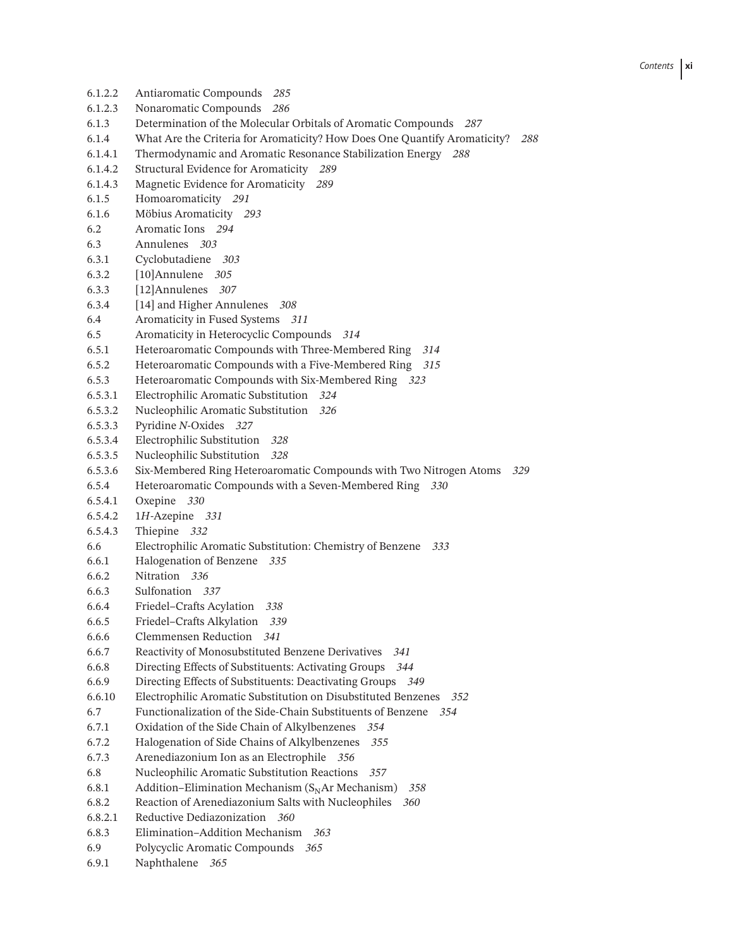6.1.2.2 Antiaromatic Compounds *285* 6.1.2.3 Nonaromatic Compounds *286* 6.1.3 Determination of the Molecular Orbitals of Aromatic Compounds *287* 6.1.4 What Are the Criteria for Aromaticity? How Does One Quantify Aromaticity? *288* 6.1.4.1 Thermodynamic and Aromatic Resonance Stabilization Energy *288* 6.1.4.2 Structural Evidence for Aromaticity *289* 6.1.4.3 Magnetic Evidence for Aromaticity *289* 6.1.5 Homoaromaticity *291* 6.1.6 Möbius Aromaticity *293* 6.2 Aromatic Ions *294* 6.3 Annulenes *303* 6.3.1 Cyclobutadiene *303* 6.3.2 [10]Annulene *305* 6.3.3 [12]Annulenes *307* 6.3.4 [14] and Higher Annulenes *308* 6.4 Aromaticity in Fused Systems *311* 6.5 Aromaticity in Heterocyclic Compounds *314* 6.5.1 Heteroaromatic Compounds with Three-Membered Ring *314* 6.5.2 Heteroaromatic Compounds with a Five-Membered Ring *315* 6.5.3 Heteroaromatic Compounds with Six-Membered Ring *323* 6.5.3.1 Electrophilic Aromatic Substitution *324* 6.5.3.2 Nucleophilic Aromatic Substitution *326* 6.5.3.3 Pyridine *N-*Oxides *327* 6.5.3.4 Electrophilic Substitution *328* 6.5.3.5 Nucleophilic Substitution *328* 6.5.3.6 Six-Membered Ring Heteroaromatic Compounds with Two Nitrogen Atoms *329* 6.5.4 Heteroaromatic Compounds with a Seven-Membered Ring *330* 6.5.4.1 Oxepine *330* 6.5.4.2 1*H*-Azepine *331* 6.5.4.3 Thiepine *332* 6.6 Electrophilic Aromatic Substitution: Chemistry of Benzene *333* 6.6.1 Halogenation of Benzene *335* 6.6.2 Nitration *336* 6.6.3 Sulfonation *337* 6.6.4 Friedel–Crafts Acylation *338* 6.6.5 Friedel–Crafts Alkylation *339* 6.6.6 Clemmensen Reduction *341* 6.6.7 Reactivity of Monosubstituted Benzene Derivatives *341* 6.6.8 Directing Effects of Substituents: Activating Groups *344* 6.6.9 Directing Effects of Substituents: Deactivating Groups *349* 6.6.10 Electrophilic Aromatic Substitution on Disubstituted Benzenes *352* 6.7 Functionalization of the Side-Chain Substituents of Benzene *354* 6.7.1 Oxidation of the Side Chain of Alkylbenzenes *354* 6.7.2 Halogenation of Side Chains of Alkylbenzenes *355* 6.7.3 Arenediazonium Ion as an Electrophile *356* 6.8 Nucleophilic Aromatic Substitution Reactions *357* 6.8.1 Addition–Elimination Mechanism  $(S<sub>N</sub>Ar$  Mechanism) 358<br>6.8.2 Reaction of Arenediazonium Salts with Nucleophiles 360 6.8.2 Reaction of Arenediazonium Salts with Nucleophiles *360* 6.8.2.1 Reductive Dediazonization *360* 6.8.3 Elimination–Addition Mechanism *363* 6.9 Polycyclic Aromatic Compounds *365* 6.9.1 Naphthalene *365*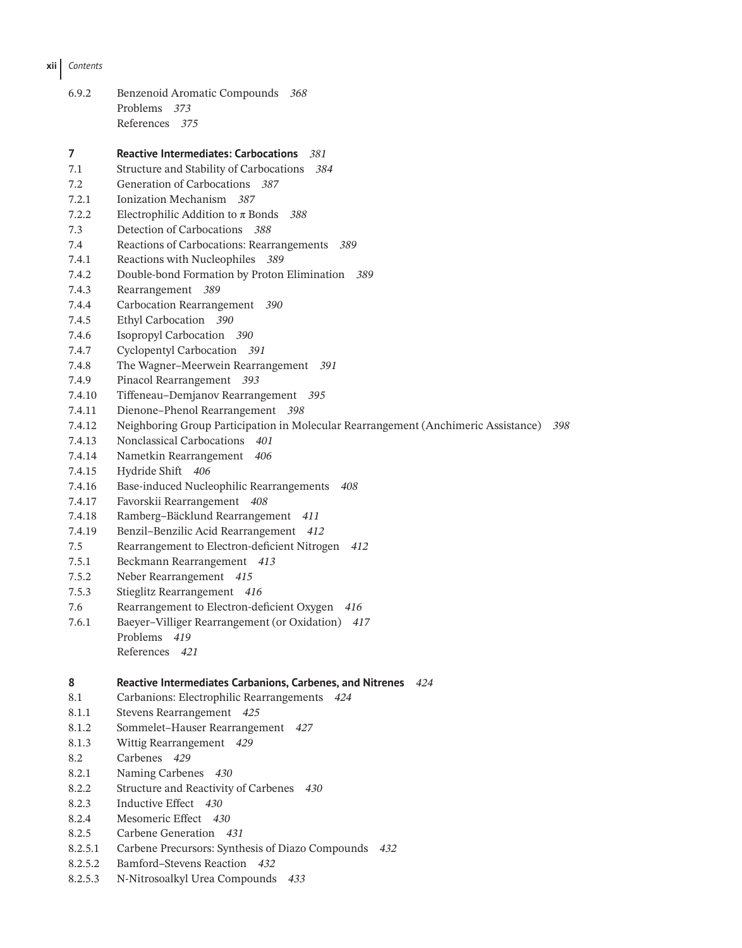**xii** *Contents*

| 6.9.2 | Benzenoid Aromatic Compounds 368 |  |
|-------|----------------------------------|--|
|       | Problems 373                     |  |
|       | References 375                   |  |

**7 Reactive Intermediates: Carbocations** *381* 7.1 Structure and Stability of Carbocations *384* 7.2 Generation of Carbocations *387* 7.2.1 Ionization Mechanism *387* 7.2.2 Electrophilic Addition to π Bonds *388* 7.3 Detection of Carbocations *388* 7.4 Reactions of Carbocations: Rearrangements *389* 7.4.1 Reactions with Nucleophiles *389* 7.4.2 Double-bond Formation by Proton Elimination *389* 7.4.3 Rearrangement *389* 7.4.4 Carbocation Rearrangement *390* 7.4.5 Ethyl Carbocation *390* 7.4.6 Isopropyl Carbocation *390* 7.4.7 Cyclopentyl Carbocation *391* 7.4.8 The Wagner–Meerwein Rearrangement *391* 7.4.9 Pinacol Rearrangement *393* 7.4.10 Tiffeneau–Demjanov Rearrangement *395* 7.4.11 Dienone–Phenol Rearrangement *398* 7.4.12 Neighboring Group Participation in Molecular Rearrangement (Anchimeric Assistance) *398* 7.4.13 Nonclassical Carbocations *401* 7.4.14 Nametkin Rearrangement *406* 7.4.15 Hydride Shift *406* 7.4.16 Base-induced Nucleophilic Rearrangements *408* 7.4.17 Favorskii Rearrangement *408* 7.4.18 Ramberg–Bäcklund Rearrangement *411* 7.4.19 Benzil–Benzilic Acid Rearrangement *412* 7.5 Rearrangement to Electron-deficient Nitrogen *412* 7.5.1 Beckmann Rearrangement *413* 7.5.2 Neber Rearrangement *415* 7.5.3 Stieglitz Rearrangement *416* 7.6 Rearrangement to Electron-deficient Oxygen *416* 7.6.1 Baeyer–Villiger Rearrangement (or Oxidation) *417* Problems *419* References *421* **8 Reactive Intermediates Carbanions, Carbenes, and Nitrenes** *424* 8.1 Carbanions: Electrophilic Rearrangements *424* 8.1.1 Stevens Rearrangement *425* 8.1.2 Sommelet–Hauser Rearrangement *427* 8.1.3 Wittig Rearrangement *429* 8.2 Carbenes *429* 8.2.1 Naming Carbenes *430* 8.2.2 Structure and Reactivity of Carbenes *430* 8.2.3 Inductive Effect *430* 8.2.4 Mesomeric Effect *430*

- 8.2.5 Carbene Generation *431*
- 8.2.5.1 Carbene Precursors: Synthesis of Diazo Compounds *432*
- 8.2.5.2 Bamford–Stevens Reaction *432*
- 8.2.5.3 N-Nitrosoalkyl Urea Compounds *433*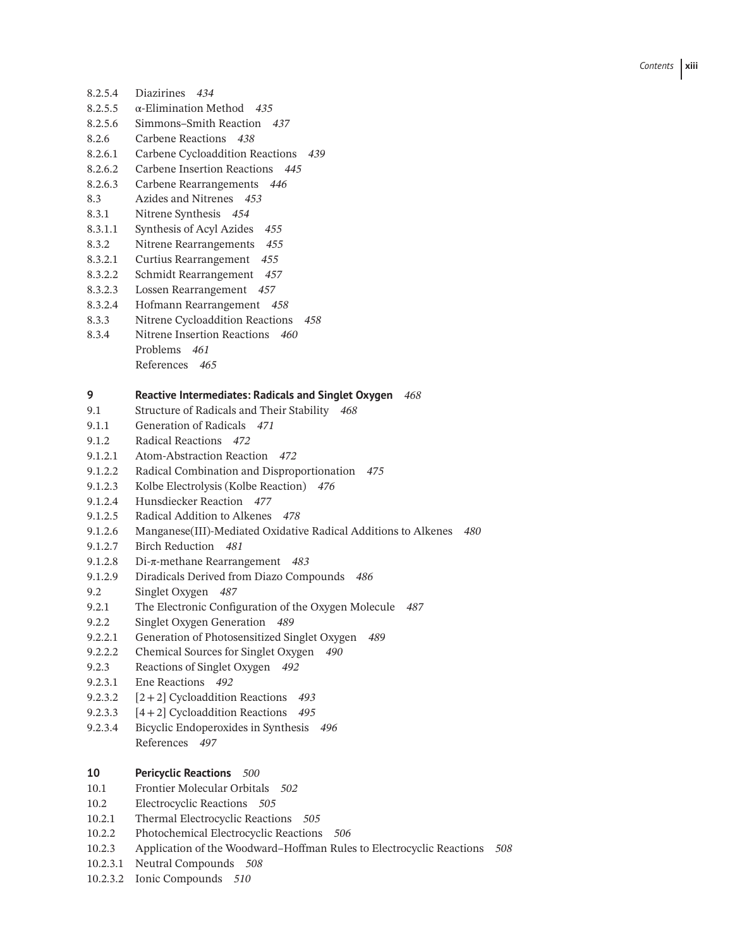- 8.2.5.4 Diazirines *434* 8.2.5.5 α-Elimination Method *435* 8.2.5.6 Simmons–Smith Reaction *437* 8.2.6 Carbene Reactions *438*
- 8.2.6.1 Carbene Cycloaddition Reactions *439*
- 8.2.6.2 Carbene Insertion Reactions *445*
- 8.2.6.3 Carbene Rearrangements *446*
- 8.3 Azides and Nitrenes *453*
- 8.3.1 Nitrene Synthesis *454*
- 8.3.1.1 Synthesis of Acyl Azides *455*
- 8.3.2 Nitrene Rearrangements *455*
- 8.3.2.1 Curtius Rearrangement *455*
- 8.3.2.2 Schmidt Rearrangement *457*
- 8.3.2.3 Lossen Rearrangement *457*
- 8.3.2.4 Hofmann Rearrangement *458*
- 8.3.3 Nitrene Cycloaddition Reactions *458*
- 8.3.4 Nitrene Insertion Reactions *460* Problems *461* References *465*

#### **9 Reactive Intermediates: Radicals and Singlet Oxygen** *468*

- 9.1 Structure of Radicals and Their Stability *468*
- 9.1.1 Generation of Radicals *471*
- 9.1.2 Radical Reactions *472*
- 9.1.2.1 Atom-Abstraction Reaction *472*
- 9.1.2.2 Radical Combination and Disproportionation *475*
- 9.1.2.3 Kolbe Electrolysis (Kolbe Reaction) *476*
- 9.1.2.4 Hunsdiecker Reaction *477*
- 9.1.2.5 Radical Addition to Alkenes *478*
- 9.1.2.6 Manganese(III)-Mediated Oxidative Radical Additions to Alkenes *480*
- 9.1.2.7 Birch Reduction *481*
- 9.1.2.8 Di-π-methane Rearrangement *483*
- 9.1.2.9 Diradicals Derived from Diazo Compounds *486*
- 9.2 Singlet Oxygen *487*
- 9.2.1 The Electronic Configuration of the Oxygen Molecule *487*
- 9.2.2 Singlet Oxygen Generation *489*
- 9.2.2.1 Generation of Photosensitized Singlet Oxygen *489*
- 9.2.2.2 Chemical Sources for Singlet Oxygen *490*
- 9.2.3 Reactions of Singlet Oxygen *492*
- 9.2.3.1 Ene Reactions *492*
- 9.2.3.2 [2+2] Cycloaddition Reactions *493*
- 9.2.3.3 [4+2] Cycloaddition Reactions *495*
- 9.2.3.4 Bicyclic Endoperoxides in Synthesis *496* References *497*

### **10 Pericyclic Reactions** *500*

- 10.1 Frontier Molecular Orbitals *502*
- 10.2 Electrocyclic Reactions *505*
- 10.2.1 Thermal Electrocyclic Reactions *505*
- 10.2.2 Photochemical Electrocyclic Reactions *506*
- 10.2.3 Application of the Woodward–Hoffman Rules to Electrocyclic Reactions *508*
- 10.2.3.1 Neutral Compounds *508*
- 10.2.3.2 Ionic Compounds *510*